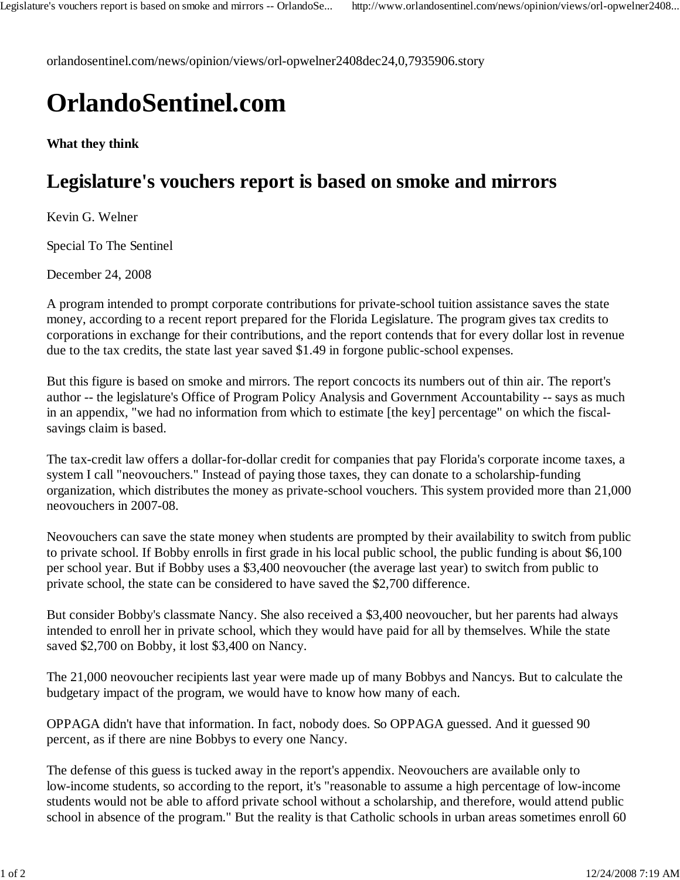orlandosentinel.com/news/opinion/views/orl-opwelner2408dec24,0,7935906.story

## **OrlandoSentinel.com**

**What they think**

## **Legislature's vouchers report is based on smoke and mirrors**

Kevin G. Welner

Special To The Sentinel

December 24, 2008

A program intended to prompt corporate contributions for private-school tuition assistance saves the state money, according to a recent report prepared for the Florida Legislature. The program gives tax credits to corporations in exchange for their contributions, and the report contends that for every dollar lost in revenue due to the tax credits, the state last year saved \$1.49 in forgone public-school expenses.

But this figure is based on smoke and mirrors. The report concocts its numbers out of thin air. The report's author -- the legislature's Office of Program Policy Analysis and Government Accountability -- says as much in an appendix, "we had no information from which to estimate [the key] percentage" on which the fiscalsavings claim is based.

The tax-credit law offers a dollar-for-dollar credit for companies that pay Florida's corporate income taxes, a system I call "neovouchers." Instead of paying those taxes, they can donate to a scholarship-funding organization, which distributes the money as private-school vouchers. This system provided more than 21,000 neovouchers in 2007-08.

Neovouchers can save the state money when students are prompted by their availability to switch from public to private school. If Bobby enrolls in first grade in his local public school, the public funding is about \$6,100 per school year. But if Bobby uses a \$3,400 neovoucher (the average last year) to switch from public to private school, the state can be considered to have saved the \$2,700 difference.

But consider Bobby's classmate Nancy. She also received a \$3,400 neovoucher, but her parents had always intended to enroll her in private school, which they would have paid for all by themselves. While the state saved \$2,700 on Bobby, it lost \$3,400 on Nancy.

The 21,000 neovoucher recipients last year were made up of many Bobbys and Nancys. But to calculate the budgetary impact of the program, we would have to know how many of each.

OPPAGA didn't have that information. In fact, nobody does. So OPPAGA guessed. And it guessed 90 percent, as if there are nine Bobbys to every one Nancy.

The defense of this guess is tucked away in the report's appendix. Neovouchers are available only to low-income students, so according to the report, it's "reasonable to assume a high percentage of low-income students would not be able to afford private school without a scholarship, and therefore, would attend public school in absence of the program." But the reality is that Catholic schools in urban areas sometimes enroll 60